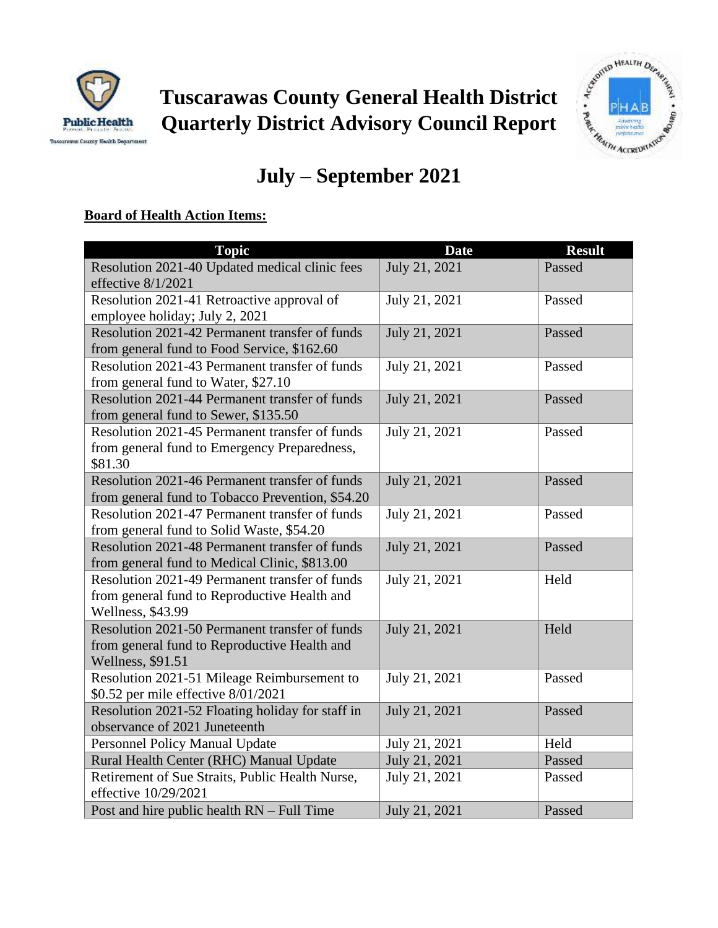



# **July – September 2021**

## **Board of Health Action Items:**

| <b>Topic</b>                                                                                                        | <b>Date</b>   | <b>Result</b> |
|---------------------------------------------------------------------------------------------------------------------|---------------|---------------|
| Resolution 2021-40 Updated medical clinic fees<br>effective 8/1/2021                                                | July 21, 2021 | Passed        |
| Resolution 2021-41 Retroactive approval of<br>employee holiday; July 2, 2021                                        | July 21, 2021 | Passed        |
| Resolution 2021-42 Permanent transfer of funds<br>from general fund to Food Service, \$162.60                       | July 21, 2021 | Passed        |
| Resolution 2021-43 Permanent transfer of funds<br>from general fund to Water, \$27.10                               | July 21, 2021 | Passed        |
| Resolution 2021-44 Permanent transfer of funds<br>from general fund to Sewer, \$135.50                              | July 21, 2021 | Passed        |
| Resolution 2021-45 Permanent transfer of funds<br>from general fund to Emergency Preparedness,<br>\$81.30           | July 21, 2021 | Passed        |
| Resolution 2021-46 Permanent transfer of funds<br>from general fund to Tobacco Prevention, \$54.20                  | July 21, 2021 | Passed        |
| Resolution 2021-47 Permanent transfer of funds<br>from general fund to Solid Waste, \$54.20                         | July 21, 2021 | Passed        |
| Resolution 2021-48 Permanent transfer of funds<br>from general fund to Medical Clinic, \$813.00                     | July 21, 2021 | Passed        |
| Resolution 2021-49 Permanent transfer of funds<br>from general fund to Reproductive Health and<br>Wellness, \$43.99 | July 21, 2021 | Held          |
| Resolution 2021-50 Permanent transfer of funds<br>from general fund to Reproductive Health and<br>Wellness, \$91.51 | July 21, 2021 | Held          |
| Resolution 2021-51 Mileage Reimbursement to<br>\$0.52 per mile effective 8/01/2021                                  | July 21, 2021 | Passed        |
| Resolution 2021-52 Floating holiday for staff in<br>observance of 2021 Juneteenth                                   | July 21, 2021 | Passed        |
| Personnel Policy Manual Update                                                                                      | July 21, 2021 | Held          |
| Rural Health Center (RHC) Manual Update                                                                             | July 21, 2021 | Passed        |
| Retirement of Sue Straits, Public Health Nurse,<br>effective 10/29/2021                                             | July 21, 2021 | Passed        |
| Post and hire public health RN - Full Time                                                                          | July 21, 2021 | Passed        |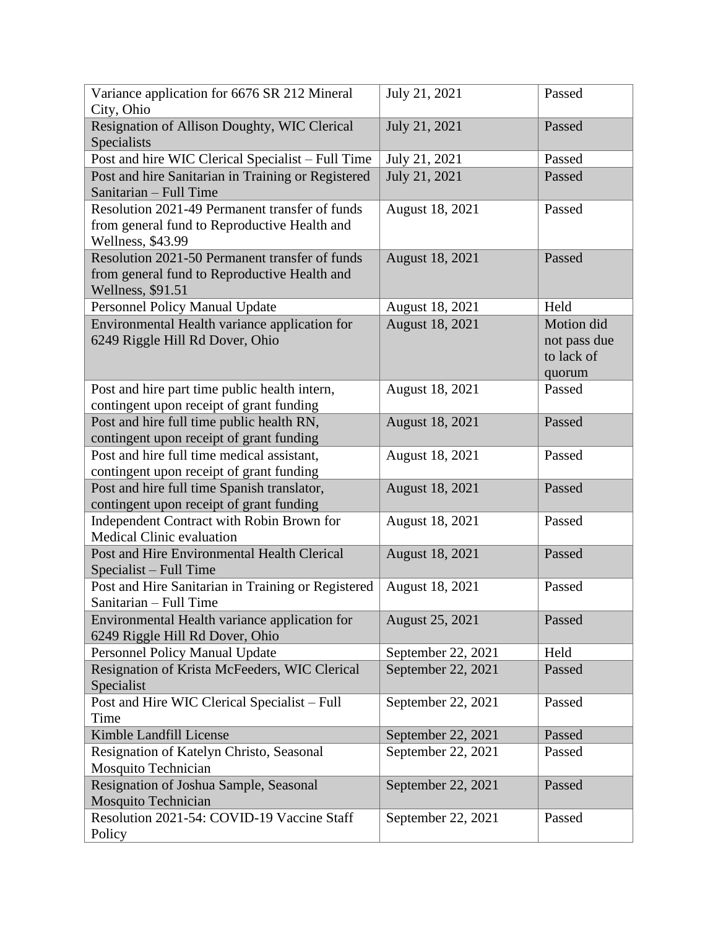| Variance application for 6676 SR 212 Mineral<br>City, Ohio                                                          | July 21, 2021      | Passed                                             |
|---------------------------------------------------------------------------------------------------------------------|--------------------|----------------------------------------------------|
| Resignation of Allison Doughty, WIC Clerical<br>Specialists                                                         | July 21, 2021      | Passed                                             |
| Post and hire WIC Clerical Specialist - Full Time                                                                   | July 21, 2021      | Passed                                             |
| Post and hire Sanitarian in Training or Registered<br>Sanitarian - Full Time                                        | July 21, 2021      | Passed                                             |
| Resolution 2021-49 Permanent transfer of funds<br>from general fund to Reproductive Health and<br>Wellness, \$43.99 | August 18, 2021    | Passed                                             |
| Resolution 2021-50 Permanent transfer of funds<br>from general fund to Reproductive Health and<br>Wellness, \$91.51 | August 18, 2021    | Passed                                             |
| Personnel Policy Manual Update                                                                                      | August 18, 2021    | Held                                               |
| Environmental Health variance application for<br>6249 Riggle Hill Rd Dover, Ohio                                    | August 18, 2021    | Motion did<br>not pass due<br>to lack of<br>quorum |
| Post and hire part time public health intern,<br>contingent upon receipt of grant funding                           | August 18, 2021    | Passed                                             |
| Post and hire full time public health RN,<br>contingent upon receipt of grant funding                               | August 18, 2021    | Passed                                             |
| Post and hire full time medical assistant,<br>contingent upon receipt of grant funding                              | August 18, 2021    | Passed                                             |
| Post and hire full time Spanish translator,<br>contingent upon receipt of grant funding                             | August 18, 2021    | Passed                                             |
| Independent Contract with Robin Brown for<br><b>Medical Clinic evaluation</b>                                       | August 18, 2021    | Passed                                             |
| Post and Hire Environmental Health Clerical<br>Specialist – Full Time                                               | August 18, 2021    | Passed                                             |
| Post and Hire Sanitarian in Training or Registered<br>Sanitarian - Full Time                                        | August 18, 2021    | Passed                                             |
| Environmental Health variance application for<br>6249 Riggle Hill Rd Dover, Ohio                                    | August 25, 2021    | Passed                                             |
| <b>Personnel Policy Manual Update</b>                                                                               | September 22, 2021 | Held                                               |
| Resignation of Krista McFeeders, WIC Clerical<br>Specialist                                                         | September 22, 2021 | Passed                                             |
| Post and Hire WIC Clerical Specialist - Full<br>Time                                                                | September 22, 2021 | Passed                                             |
| Kimble Landfill License                                                                                             | September 22, 2021 | Passed                                             |
| Resignation of Katelyn Christo, Seasonal<br>Mosquito Technician                                                     | September 22, 2021 | Passed                                             |
| Resignation of Joshua Sample, Seasonal<br><b>Mosquito Technician</b>                                                | September 22, 2021 | Passed                                             |
| Resolution 2021-54: COVID-19 Vaccine Staff<br>Policy                                                                | September 22, 2021 | Passed                                             |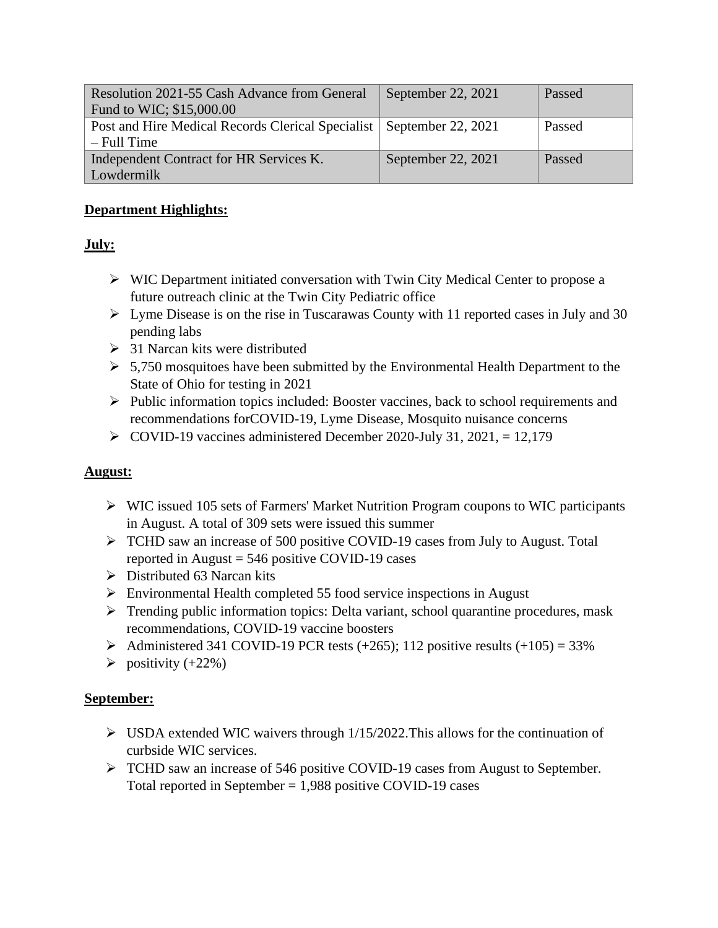| Resolution 2021-55 Cash Advance from General                           | September 22, $2021$ | Passed |
|------------------------------------------------------------------------|----------------------|--------|
| Fund to WIC; \$15,000.00                                               |                      |        |
| Post and Hire Medical Records Clerical Specialist   September 22, 2021 |                      | Passed |
| $-$ Full Time                                                          |                      |        |
| Independent Contract for HR Services K.                                | September 22, 2021   | Passed |
| Lowdermilk                                                             |                      |        |

#### **Department Highlights:**

### **July:**

- ➢ WIC Department initiated conversation with Twin City Medical Center to propose a future outreach clinic at the Twin City Pediatric office
- $\triangleright$  Lyme Disease is on the rise in Tuscarawas County with 11 reported cases in July and 30 pending labs
- $\geq$  31 Narcan kits were distributed
- $\geq 5,750$  mosquitoes have been submitted by the Environmental Health Department to the State of Ohio for testing in 2021
- ➢ Public information topics included: Booster vaccines, back to school requirements and recommendations forCOVID-19, Lyme Disease, Mosquito nuisance concerns
- $\triangleright$  COVID-19 vaccines administered December 2020-July 31, 2021, = 12,179

### **August:**

- ➢ WIC issued 105 sets of Farmers' Market Nutrition Program coupons to WIC participants in August. A total of 309 sets were issued this summer
- ➢ TCHD saw an increase of 500 positive COVID-19 cases from July to August. Total reported in August  $= 546$  positive COVID-19 cases
- $\triangleright$  Distributed 63 Narcan kits
- ➢ Environmental Health completed 55 food service inspections in August
- ➢ Trending public information topics: Delta variant, school quarantine procedures, mask recommendations, COVID-19 vaccine boosters
- $\triangleright$  Administered 341 COVID-19 PCR tests (+265); 112 positive results (+105) = 33%
- $\blacktriangleright$  positivity (+22%)

### **September:**

- $\triangleright$  USDA extended WIC waivers through 1/15/2022. This allows for the continuation of curbside WIC services.
- ➢ TCHD saw an increase of 546 positive COVID-19 cases from August to September. Total reported in September = 1,988 positive COVID-19 cases